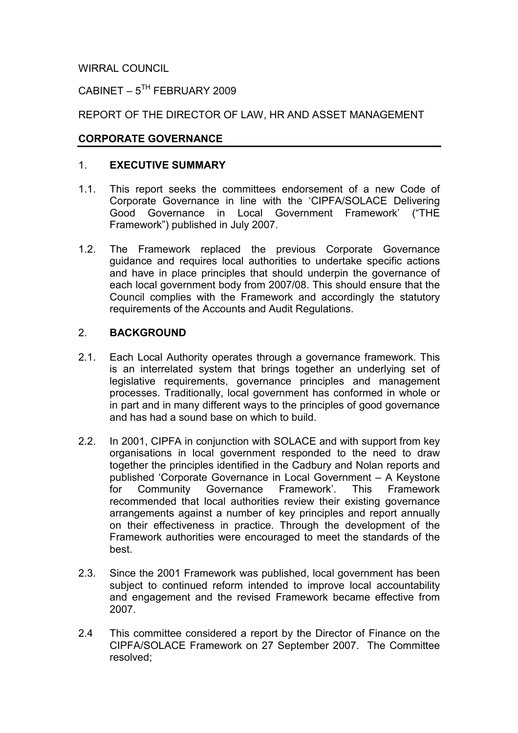WIRRAL COUNCIL

CABINET –  $5^{TH}$  FEBRUARY 2009

REPORT OF THE DIRECTOR OF LAW, HR AND ASSET MANAGEMENT

### CORPORATE GOVERNANCE

#### 1. EXECUTIVE SUMMARY

- 1.1. This report seeks the committees endorsement of a new Code of Corporate Governance in line with the 'CIPFA/SOLACE Delivering Good Governance in Local Government Framework' ("THE Framework") published in July 2007.
- 1.2. The Framework replaced the previous Corporate Governance guidance and requires local authorities to undertake specific actions and have in place principles that should underpin the governance of each local government body from 2007/08. This should ensure that the Council complies with the Framework and accordingly the statutory requirements of the Accounts and Audit Regulations.

#### 2. BACKGROUND

- 2.1. Each Local Authority operates through a governance framework. This is an interrelated system that brings together an underlying set of legislative requirements, governance principles and management processes. Traditionally, local government has conformed in whole or in part and in many different ways to the principles of good governance and has had a sound base on which to build.
- 2.2. In 2001, CIPFA in conjunction with SOLACE and with support from key organisations in local government responded to the need to draw together the principles identified in the Cadbury and Nolan reports and published 'Corporate Governance in Local Government – A Keystone for Community Governance Framework'. This Framework recommended that local authorities review their existing governance arrangements against a number of key principles and report annually on their effectiveness in practice. Through the development of the Framework authorities were encouraged to meet the standards of the best.
- 2.3. Since the 2001 Framework was published, local government has been subject to continued reform intended to improve local accountability and engagement and the revised Framework became effective from 2007.
- 2.4 This committee considered a report by the Director of Finance on the CIPFA/SOLACE Framework on 27 September 2007. The Committee resolved;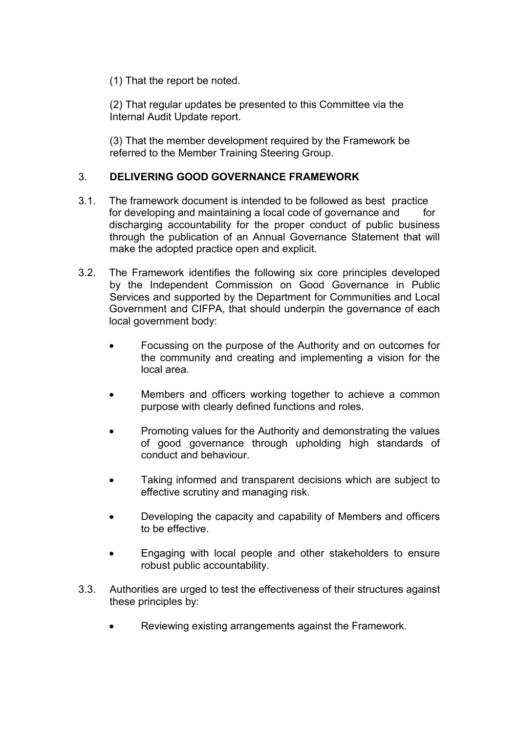(1) That the report be noted.

(2) That regular updates be presented to this Committee via the Internal Audit Update report.

(3) That the member development required by the Framework be referred to the Member Training Steering Group.

## 3. DELIVERING GOOD GOVERNANCE FRAMEWORK

- 3.1. The framework document is intended to be followed as best practice for developing and maintaining a local code of governance and for discharging accountability for the proper conduct of public business through the publication of an Annual Governance Statement that will make the adopted practice open and explicit.
- 3.2. The Framework identifies the following six core principles developed by the Independent Commission on Good Governance in Public Services and supported by the Department for Communities and Local Government and CIFPA, that should underpin the governance of each local government body:
	- Focussing on the purpose of the Authority and on outcomes for the community and creating and implementing a vision for the local area.
	- Members and officers working together to achieve a common purpose with clearly defined functions and roles.
	- Promoting values for the Authority and demonstrating the values of good governance through upholding high standards of conduct and behaviour.
	- Taking informed and transparent decisions which are subject to effective scrutiny and managing risk.
	- Developing the capacity and capability of Members and officers to be effective.
	- Engaging with local people and other stakeholders to ensure robust public accountability.
- 3.3. Authorities are urged to test the effectiveness of their structures against these principles by:
	- Reviewing existing arrangements against the Framework.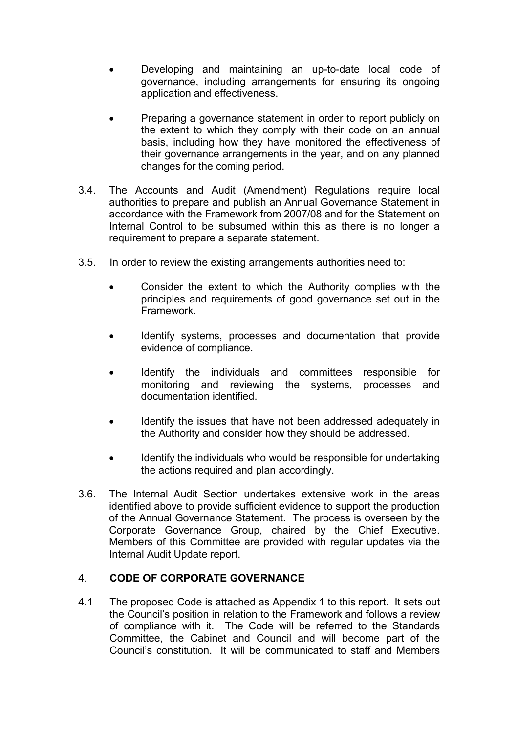- Developing and maintaining an up-to-date local code of governance, including arrangements for ensuring its ongoing application and effectiveness.
- Preparing a governance statement in order to report publicly on the extent to which they comply with their code on an annual basis, including how they have monitored the effectiveness of their governance arrangements in the year, and on any planned changes for the coming period.
- 3.4. The Accounts and Audit (Amendment) Regulations require local authorities to prepare and publish an Annual Governance Statement in accordance with the Framework from 2007/08 and for the Statement on Internal Control to be subsumed within this as there is no longer a requirement to prepare a separate statement.
- 3.5. In order to review the existing arrangements authorities need to:
	- Consider the extent to which the Authority complies with the principles and requirements of good governance set out in the Framework.
	- Identify systems, processes and documentation that provide evidence of compliance.
	- Identify the individuals and committees responsible for monitoring and reviewing the systems, processes and documentation identified.
	- Identify the issues that have not been addressed adequately in the Authority and consider how they should be addressed.
	- Identify the individuals who would be responsible for undertaking the actions required and plan accordingly.
- 3.6. The Internal Audit Section undertakes extensive work in the areas identified above to provide sufficient evidence to support the production of the Annual Governance Statement. The process is overseen by the Corporate Governance Group, chaired by the Chief Executive. Members of this Committee are provided with regular updates via the Internal Audit Update report.

## 4. CODE OF CORPORATE GOVERNANCE

4.1 The proposed Code is attached as Appendix 1 to this report. It sets out the Council's position in relation to the Framework and follows a review of compliance with it. The Code will be referred to the Standards Committee, the Cabinet and Council and will become part of the Council's constitution. It will be communicated to staff and Members